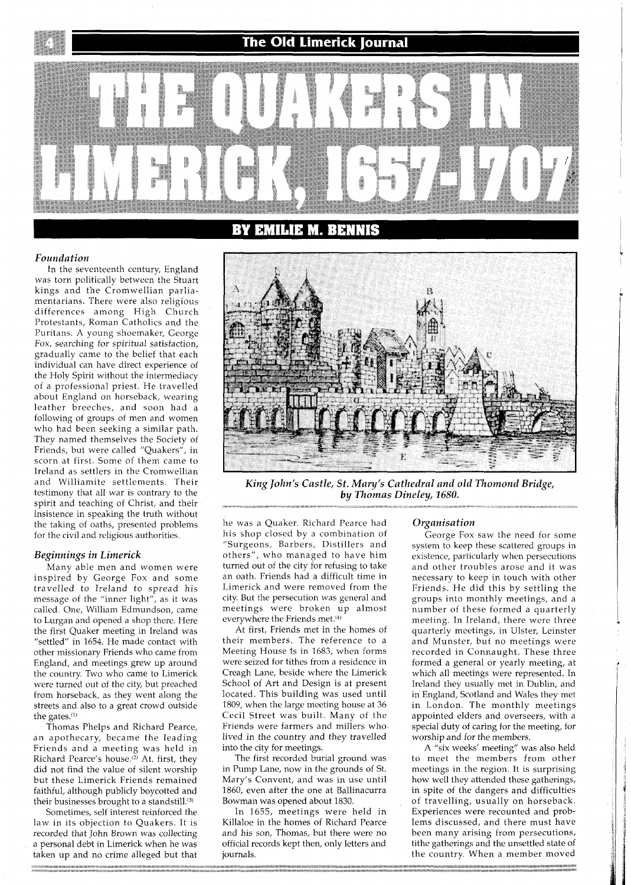## The Old Limerick Iournal



#### *Foundation*

In the seventeenth century, England was torn politically between the Stuart kings and the Cromwellian parliamentarians. There were also religious differences among High Church Protestants, Roman Catholics and the Puritans. A young shoemaker, George Fox, searching for spiritual satisfaction, gradually came to the belief that each individual can have direct experience of the Holy Spirit without the intermediacy of a professional priest. He travelled about England on horseback, wearing leather breeches, and soon had a following of groups of men and women who had been seeking a similar path. They named themselves the Society of Friends, but were called "Quakers", in scorn at first. Some of them came to Ireland as settlers in the Cromwellian and Williamite settlements. Their testimony that all war is contrary to the spirit and teaching of Christ, and their insistence in speaking the truth without the taking of oaths, presented problems for the civil and religious authorities.

## *Beginnings in Limerick*

Many able men and women were inspired by George Fox and some travelled to Ireland to spread his message of the "inner light", as it was called. One, William Edmundson, came to Lurgan and opened a shop there. Here the first Quaker meeting in Ireland was "settled" in 1654. He made contact with other missionary Friends who came from England, and meetings grew up around the country. Two who came to Limerick were turned out of the city, but preached from horseback, as they went along the streets and also to a great crowd outside the gates.<sup>(1)</sup>

Thomas Phelps and Richard Pearce, an apothecary, became the leading Friends and a meeting was held in Richard Pearce's house.<sup>(2)</sup> At. first, they did not find the value of silent worship but these Limerick Friends remained faithful, although publicly boycotted and their businesses brought to a standstill. $^{(3)}$ 

Sometimes, self interest reinforced the law in its objection to Quakers. It is recorded that John Brown was collecting a personal debt in Limerick when he was taken up and no crime alleged but that



King John's Castle, St. Mary's Cathedral and old Thomond Bridge, by Thomas Dineley, 1680.

he was a Quaker. Richard Pearce had his shop closed by a combination of "Surgeons, Barbers, Distillers and others", who managed to have him turned out of the city for refusing to take an oath. Friends had a difficult time in Limerick and were removed from the city. But the persecution was general and meetings were broken up almost everywhere the Friends met.<sup>(4)</sup>

At first, Friends met in the homes of their members. The reference to a Meeting House fs in 1683, when forms were seized for tithes from a residence in Creagh Lane, beside where the Limerick School of Art and Design is at present located. This building was used until 1809, when the large meeting house at 36 Cecil Street was built. Many of the Friends were farmers and millers who lived in the country and they travelled into the city for meetings.

The first recorded burial ground was in Pump Lane, now in the grounds of St. Mary's Convent, and was in use until 1860, even after the one at Ballinacurra Bowman was opened about 1830.

In 1655, meetings were held in Killaloe in the homes of Richard Pearce and his son, Thomas, but there were no official records kept then, only letters and journals.

## *Organisation*

George Fox saw the need for some system to keep these scattered groups in existence, particularly when persecutions and other troubles arose and it was necessary to keep in touch with other Friends. He did this by settling the groups into monthly meetings, and a number of these formed a quarterly meeting. In Ireland, there were three quarterly meetings, in Ulster, Leinster and Munster, but no meetings were recorded in Connaught. These three formed a general or yearly meeting, at which all meetings were represented. In Ireland they usually met in Dublin, and in England, Scotland and Wales they met in London. The monthly meetings appointed elders and overseers, with a special duty of caring for the meeting, for worship and for the members.

A "six weeks' meeting" was also held to meet the members from other meetings in the region. It is surprising how well they attended these gatherings, in spite of the dangers and difficulties of travelling, usually on horseback. Experiences were recounted and problems discussed, and there must have been many arising from persecutions, tithe gatherings and the unsettled state of the country. When a member moved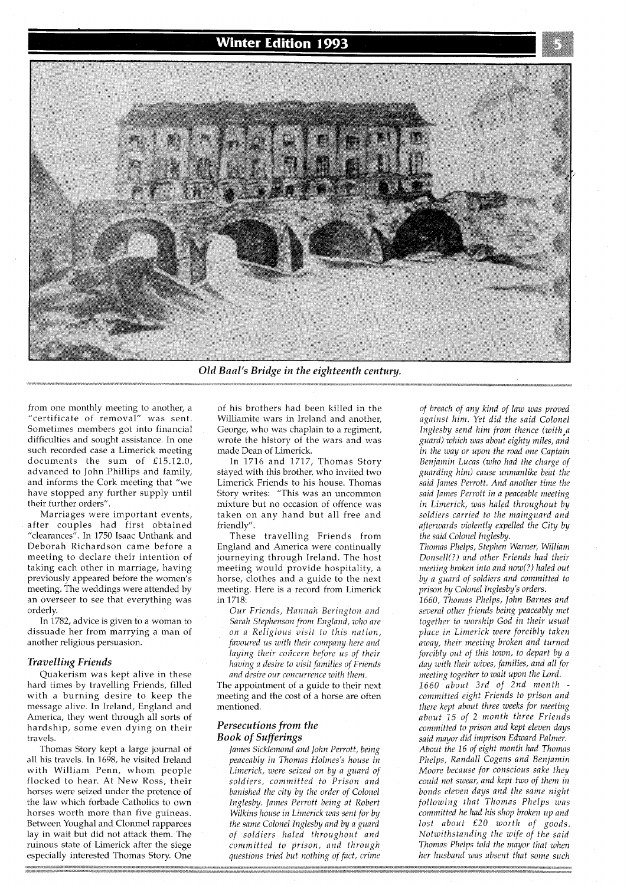# **Winter Edition 1993**



Old Baal's Bridge in the eighteenth century.

from one monthly meeting to another, a "certificate of removal" was sent. Sometimes members got into financial difficulties and sought assistance. In one such recorded case a Limerick meeting documents the sum of £15.12.0, advanced to John Phillips and family, and informs the Cork meeting that "we have stopped any further supply until their further orders".

Marriages were important events, after couples had first obtained "clearances". In 1750 Isaac Unthank and Deborah Richardson came before a meeting to declare their intention of taking each other in marriage, having previously appeared before the women's meeting. The weddings were attended by an overseer to see that everything was orderly.

In 1782, advice is given to a woman to dissuade her from marrying a man of another religious persuasion.

### *Travelling Friends*

Quakerism was kept alive in these hard times by travelling Friends, filled with a burning desire to keep the message alive. In Ireland, England and America, they went through all sorts of hardship, some even dying on their travels.

Thomas Story kept a large journal of all his travels. In 1698, he visited Ireland with William Penn, whom people flocked to hear. At New Ross, their horses were seized under the pretence of the law which forbade Catholics to own horses worth more than five guineas. Between Youghal and Clonmel rapparees lay in wait but did not attack them. The ruinous state of Limerick after the siege especially interested Thomas Story. One

of his brothers had been killed in the Williamite wars in Ireland and another, George, who was chaplain to a regiment, wrote the history of the wars and was made Dean of Limerick.

In 1716 and 1717, Thomas Story stayed with this brother, who invited two Limerick Friends to his house. Thomas Story writes: "This was an uncommon mixture but no occasion of offence was taken on any hand but all free and friendly".

These travelling Friends from England and America were continually journeying through Ireland. The host meeting would provide hospitality, a horse, clothes and a guide to the next meeting. Here is a record from Limerick in 1718:

*Our Friends, Hannah Berington and Sarah Stephenson from England, who are on a Religious visit to this nation, favoured us with their company here and laying their concern before us of their having a desire to visit families of Friends and desire our concurrence with them.* 

The appointment of a guide to their next meeting and the cost of a horse are often mentioned.

## *Persecutions from the Book of Sufferings*

*James Sicklemond and John Perrott, being peaceably in Thomas Holmes's house in Limerick, were seized on by a guard of soldiers, committed to Prison and banished the city by the order of Colonel Inglesby. lames Perrott being at Robert Wilkins house in Limerick was sent for by the same Colonel lnglesby and by a guard of soldiers haled throu~hout and committed to prison, and through questions tried but nothing of fact, crime* 

*of breach of any kind of law was proved*  against him. Yet did the said Colonel *Inglesby send him from thence (with,a guard) which was about eighty miles, and in the way or upon the road one Captain Benjamin Lucas (who had the charge of guarding him) cause unmanlike beat the said James Perrott. And another time the said James Perrott in a peaceable meeting in Limerick, was haled throughout by soldiers carried to the mainguard and afterwards violently expelled the City by the said Colonel Inglesby.* 

*Thomas Phelps, Stephen Warner, William Donsell(?) and other Friends had their meeting broken into and now(?) haled out by a guard of soldiers and committed to prison by Colonel Inglesby's orders.* 

*1660, Thomas Phdps, John Barnes and several other friends being peaceably met together to worship God in their usual place in Limerick were forcibly taken away, their meeting broken and turned forcibly out of this town, to depart by a day with their wives, families, and all for meeting together to wait upon the Lord.* 

*1660 about 3rd of 2nd month committed eight Friends to prison and there kept about three weeks for meeting about 15 of 2 month three Friends committed to prison and kept eleven days said mayor did imprison Edward Palmer. About the 16 of eight month had Thomas Phelps, Randall Cogens and Benjamin Moore because for conscious sake they could not swear, and kept two of them in bonds eleven days and the same night following that Thomas Phelps was commztted he had his shop broken up and lost about £20 worth of goods. Notwzthstanding the wife of the said Thomas Phelps told the mayor that when her husband was absent that some such*